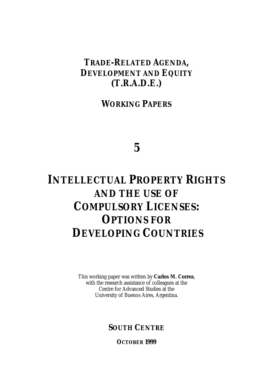# **TRADE-RELATED AGENDA, DEVELOPMENT AND EQUITY (T.R.A.D.E.)**

**WORKING PAPERS**

**5**

# **INTELLECTUAL PROPERTY RIGHTS AND THE USE OF COMPULSORY LICENSES: OPTIONS FOR DEVELOPING COUNTRIES**

This working paper was written by **Carlos M. Correa**, with the research assistance of colleagues at the Centre for Advanced Studies at the University of Buenos Aires, Argentina.

# **SOUTH CENTRE**

**OCTOBER 1999**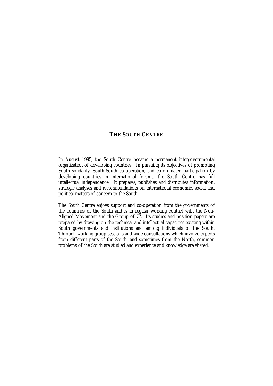## **THE SOUTH CENTRE**

In August 1995, the South Centre became a permanent intergovernmental organization of developing countries. In pursuing its objectives of promoting South solidarity, South-South co-operation, and co-ordinated participation by developing countries in international forums, the South Centre has full intellectual independence. It prepares, publishes and distributes information, strategic analyses and recommendations on international economic, social and political matters of concern to the South.

The South Centre enjoys support and co-operation from the governments of the countries of the South and is in regular working contact with the Non-Aligned Movement and the Group of 77. Its studies and position papers are prepared by drawing on the technical and intellectual capacities existing within South governments and institutions and among individuals of the South. Through working group sessions and wide consultations which involve experts from different parts of the South, and sometimes from the North, common problems of the South are studied and experience and knowledge are shared.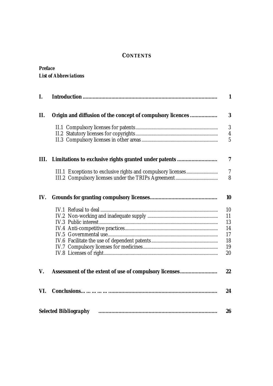## **CONTENTS**

## *Preface List of Abbreviations*

| I.  |                                                            | 1                                |
|-----|------------------------------------------------------------|----------------------------------|
| II. | Origin and diffusion of the concept of compulsory licences | 3                                |
|     |                                                            | 3                                |
|     |                                                            | $\overline{4}$<br>$\overline{5}$ |
|     |                                                            | $\overline{7}$                   |
|     |                                                            | $\overline{\mathcal{U}}$         |
|     |                                                            | 8                                |
| IV. |                                                            | 10                               |
|     |                                                            | 10                               |
|     |                                                            | 11                               |
|     |                                                            | 13                               |
|     |                                                            | 14                               |
|     |                                                            | 17                               |
|     |                                                            | 18                               |
|     |                                                            | 19                               |
|     |                                                            | 20                               |
| V.  | Assessment of the extent of use of compulsory licenses     | 22                               |
| VI. |                                                            | 24                               |
|     | <b>Selected Bibliography</b>                               | 26                               |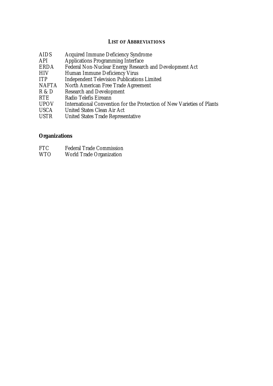## **LIST OF ABBREVIATIONS**

| <b>AIDS</b>  | <b>Acquired Immune Deficiency Syndrome</b>                             |
|--------------|------------------------------------------------------------------------|
| API          | <b>Applications Programming Interface</b>                              |
| <b>ERDA</b>  | Federal Non-Nuclear Energy Research and Development Act                |
| <b>HIV</b>   | Human Immune Deficiency Virus                                          |
| <b>ITP</b>   | <b>Independent Television Publications Limited</b>                     |
| <b>NAFTA</b> | North American Free Trade Agreement                                    |
| R & D        | <b>Research and Development</b>                                        |
| <b>RTE</b>   | Radio Telefis Eireann                                                  |
| <b>UPOV</b>  | International Convention for the Protection of New Varieties of Plants |
| <b>USCA</b>  | United States Clean Air Act                                            |
| <b>USTR</b>  | United States Trade Representative                                     |
|              |                                                                        |

# **Organizations**

| <b>FTC</b> | <b>Federal Trade Commission</b> |
|------------|---------------------------------|
| <b>WTO</b> | <b>World Trade Organization</b> |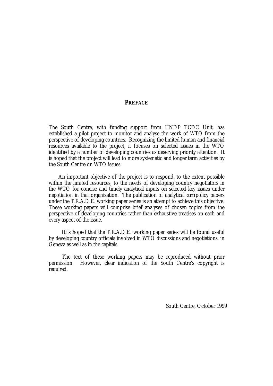#### **PREFACE**

The South Centre, with funding support from UNDP TCDC Unit, has established a pilot project to monitor and analyse the work of WTO from the perspective of developing countries. Recognizing the limited human and financial resources available to the project, it focuses on selected issues in the WTO identified by a number of developing countries as deserving priority attention. It is hoped that the project will lead to more systematic and longer term activities by the South Centre on WTO issues.

An important objective of the project is to respond, to the extent possible within the limited resources, to the needs of developing country negotiators in the WTO for concise and timely analytical inputs on selected key issues under negotiation in that organization. The publication of analytical *cum* policy papers under the T.R.A.D.E. working paper series is an attempt to achieve this objective. These working papers will comprise brief analyses of chosen topics from the perspective of developing countries rather than exhaustive treatises on each and every aspect of the issue.

It is hoped that the T.R.A.D.E. working paper series will be found useful by developing country officials involved in WTO discussions and negotiations, in Geneva as well as in the capitals.

The text of these working papers may be reproduced without prior permission. However, clear indication of the South Centre's copyright is required.

South Centre, October 1999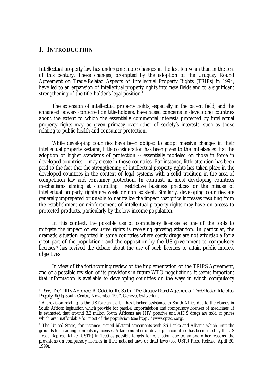## **I. INTRODUCTION**

 $\overline{a}$ 

Intellectual property law has undergone more changes in the last ten years than in the rest of this century. These changes, prompted by the adoption of the Uruguay Round Agreement on Trade-Related Aspects of Intellectual Property Rights (TRIPs) in 1994, have led to an expansion of intellectual property rights into new fields and to a significant strengthening of the title-holder's legal position.<sup>1</sup>

The extension of intellectual property rights, especially in the patent field, and the enhanced powers conferred on title-holders, have raised concerns in developing countries about the extent to which the essentially commercial interests protected by intellectual property rights may be given primacy over other of society's interests, such as those relating to public health and consumer protection.

While developing countries have been obliged to adopt massive changes in their intellectual property systems, little consideration has been given to the imbalances that the adoption of higher standards of protection -- essentially modeled on those in force in developed countries -- may create in those countries. For instance, little attention has been paid to the fact that the strengthening of intellectual property rights has taken place in the developed countries in the context of legal systems with a solid tradition in the area of competition law and consumer protection. In contrast, in most developing countries mechanisms aiming at controlling restrictive business practices or the misuse of intellectual property rights are weak or non existent. Similarly, developing countries are generally unprepared or unable to neutralize the impact that price increases resulting from the establishment or reinforcement of intellectual property rights may have on access to protected products, particularly by the low income population.

In this context, the possible use of compulsory licenses as one of the tools to mitigate the impact of exclusive rights is receiving growing attention. In particular, the dramatic situation reported in some countries where costly drugs are not affordable for a great part of the population,<sup>2</sup> and the opposition by the US government to compulsory licenses,<sup>3</sup> has revived the debate about the use of such licenses to attain public interest objectives.

In view of the forthcoming review of the implementation of the TRIPS Agreement, and of a possible revision of its provisions in future WTO negotiations, it seems important that information is available to developing countries on the ways in which compulsory

<sup>&</sup>lt;sup>1</sup> See, *The TRIPs Agreement: A Guide for the South. The Uruguay Round Agreement on Trade-Related Intellectual Property Rights*, South Centre, November 1997, Geneva, Switzerland.

<sup>2</sup> A provision relating to the US foreign-aid bill has blocked assistance to South Africa due to the clauses in South African legislation which provide for parallel importatation and compulsory licenses of medicines. It is estimated that around 3.2 millon South Africans are HIV positive and AIDS drugs are sold at prices which are unaffordable for most of the population (see htpp://www.cptech.org).

<sup>3</sup> The United States, for instance, signed bilateral agreements with Sri Lanka and Albania which limit the grounds for granting compulsory licenses. A large number of developing countries has been listed by the US Trade Representative (USTR) in 1999 as possible targets for retaliation due to, among other reasons, the provisions on compulsory licenses in their national laws or draft laws (see USTR Press Release, April 30, 1999).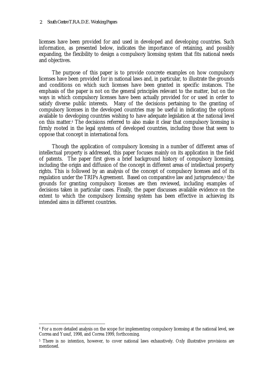licenses have been provided for and used in developed and developing countries. Such information, as presented below, indicates the importance of retaining, and possibly expanding, the flexibility to design a compulsory licensing system that fits national needs and objectives.

The purpose of this paper is to provide concrete examples on how compulsory licenses have been provided for in national laws and, in particular, to illustrate the grounds and conditions on which such licenses have been granted in specific instances. The emphasis of the paper is not on the general principles relevant to the matter, but on the ways in which compulsory licenses have been actually provided for or used in order to satisfy diverse public interests. Many of the decisions pertaining to the granting of compulsory licenses in the developed countries may be useful in indicating the options available to developing countries wishing to have adequate legislation at the national level on this matter.<sup>4</sup> The decisions referred to also make it clear that compulsory licensing is firmly rooted in the legal systems of developed countries, including those that seem to oppose that concept in international fora.

Though the application of compulsory licensing in a number of different areas of intellectual property is addressed, this paper focuses mainly on its application in the field of patents. The paper first gives a brief background history of compulsory licensing, including the origin and diffusion of the concept in different areas of intellectual property rights. This is followed by an analysis of the concept of compulsory licenses and of its regulation under the TRIPs Agreement. Based on comparative law and jurisprudence,5 the grounds for granting compulsory licenses are then reviewed, including examples of decisions taken in particular cases. Finally, the paper discusses available evidence on the extent to which the compulsory licensing system has been effective in achieving its intended aims in different countries.

 $\overline{a}$ 4 For a more detailed analysis on the scope for implementing compulsory licensing at the national level, see Correa and Yusuf, 1998, and Correa 1999, forthcoming.

<sup>&</sup>lt;sup>5</sup> There is no intention, however, to cover national laws exhaustively. Only illustrative provisions are mentioned.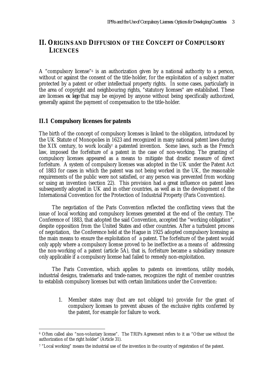## **II. ORIGINS AND DIFFUSION OF THE CONCEPT OF COMPULSORY LICENCES**

A "compulsory license"<sup>6</sup> is an authorization given by a national authority to a person, without or against the consent of the title-holder, for the exploitation of a subject matter protected by a patent or other intellectual property rights. In some cases, particularly in the area of copyright and neighbouring rights, "statutory licenses" are established. These are licenses *ex lege* that may be enjoyed by anyone without being specifically authorized, generally against the payment of compensation to the title-holder.

## **II.1 Compulsory licenses for patents**

The birth of the concept of compulsory licenses is linked to the obligation, introduced by the UK Statute of Monopolies in 1623 and recognized in many national patent laws during the XIX century, to work locally<sup>7</sup> a patented invention. Some laws, such as the French law, imposed the forfeiture of a patent in the case of non-working. The granting of compulsory licenses appeared as a means to mitigate that drastic measure of direct forfeiture. A system of compulsory licenses was adopted in the UK under the Patent Act of 1883 for cases in which the patent was not being worked in the UK, the reasonable requirements of the public were not satisfied, or any person was prevented from working or using an invention (section 22). This provision had a great influence on patent laws subsequently adopted in UK and in other countries, as well as in the development of the International Convention for the Protection of Industrial Property (Paris Convention).

The negotiation of the Paris Convention reflected the conflicting views that the issue of local working and compulsory licenses generated at the end of the century. The Conference of 1883, that adopted the said Convention, accepted the "working obligation", despite opposition from the United States and other countries. After a turbulent process of negotiation, the Conference held at the Hague in 1925 adopted compulsory licensing as the main means to ensure the exploitation of a patent. The forfeiture of the patent would only apply where a compulsory license proved to be ineffective as a means of addressing the non-working of a patent (article 5A), that is, forfeiture became a subsidiary measure only applicable if a compulsory license had failed to remedy non-exploitation.

The Paris Convention, which applies to patents on inventions, utility models, industrial designs, trademarks and trade-names, recognizes the right of member countries to establish compulsory licenses but with certain limitations under the Convention:

1. Member states may (but are not obliged to) provide for the grant of compulsory licenses to prevent abuses of the exclusive rights conferred by the patent, for example for failure to work.

 $\overline{a}$ 6 Often called also "non-voluntary license". The TRIPs Agreement refers to it as "Other use without the authorization of the right holder" (Article 31).

<sup>7</sup> "Local working" means the industrial use of the invention in the country of registration of the patent.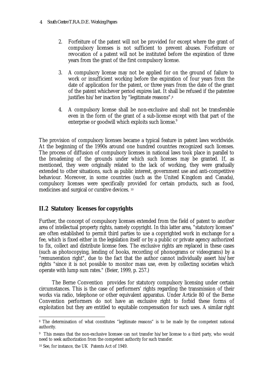- 2. Forfeiture of the patent will not be provided for except where the grant of compulsory licenses is not sufficient to prevent abuses. Forfeiture or revocation of a patent will not be instituted before the expiration of three years from the grant of the first compulsory license.
- 3. A compulsory license may not be applied for on the ground of failure to work or insufficient working before the expiration of four years from the date of application for the patent, or three years from the date of the grant of the patent whichever period expires last. It shall be refused if the patentee justifies his/her inaction by "legitimate reasons".<sup>8</sup>
- 4. A compulsory license shall be non-exclusive and shall not be transferable even in the form of the grant of a sub-license except with that part of the enterprise or goodwill which exploits such license.<sup>9</sup>

The provision of compulsory licenses became a typical feature in patent laws worldwide. At the beginning of the 1990s around one hundred countries recognized such licenses. The process of diffusion of compulsory licenses in national laws took place in parallel to the broadening of the grounds under which such licenses may be granted. If, as mentioned, they were originally related to the lack of working, they were gradually extended to other situations, such as public interest, government use and anti-competitive behaviour. Moreover, in some countries (such as the United Kingdom and Canada), compulsory licenses were specifically provided for certain products, such as food, medicines and surgical or curative devices. <sup>10</sup>

## **II.2 Statutory licenses for copyrights**

Further, the concept of compulsory licenses extended from the field of patent to another area of intellectual property rights, namely copyright. In this latter area, "statutory licenses" are often established to permit third parties to use a copyrighted work in exchange for a fee, which is fixed either in the legislation itself or by a public or private agency authorized to fix, collect and distribute license fees. The exclusive rights are replaced in these cases (such as photocopying, lending of books, recording of phonograms or videograms) by a "remuneration right", due to the fact that the author cannot individually assert his/her rights "since it is not possible to monitor mass use, even by collecting societies which operate with lump sum rates." (Beier, 1999, p. 257.)

The Berne Convention provides for statutory compulsory licensing under certain circumstances. This is the case of performers' rights regarding the transmission of their works via radio, telephone or other equivalent apparatus. Under Article 80 of the Berne Convention performers do not have an exclusive right to forbid these forms of exploitation but they are entitled to equitable compensation for such uses. A similar right

 $\overline{a}$ 8 The determination of what constitutes "legitimate reasons" is to be made by the competent national authority.

<sup>9</sup> This means that the non-exclusive licensee can not transfer his/her license to a third party, who would need to seek authorization from the competent authority for such transfer.

<sup>10</sup> See, for instance, the UK Patents Act of 1949.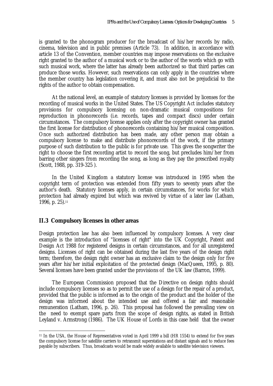is granted to the phonogram producer for the broadcast of his/her records by radio, cinema, television and in public premises (Article 73). In addition, in accordance with article 13 of the Convention, member countries may impose reservations on the exclusive right granted to the author of a musical work or to the author of the words which go with such musical work, where the latter has already been authorized so that third parties can produce those works. However, such reservations can only apply in the countries where the member country has legislation covering it, and must also not be prejudicial to the rights of the author to obtain compensation.

At the national level, an example of statutory licenses is provided by licenses for the recording of musical works in the United States. The US Copyright Act includes statutory provisions for compulsory licensing on non-dramatic musical compositions for reproduction in phonorecords (i.e. records, tapes and compact discs) under certain circumstances. The compulsory license applies only after the copyright owner has granted the first license for distribution of phonorecords containing his/her musical composition. Once such authorized distribution has been made, any other person may obtain a compulsory license to make and distribute phonorecords of the work, if the primary purpose of such distribution to the public is for private use. This gives the songwriter the right to choose the first recording artist to record the song, but precludes him/her from barring other singers from recording the song, as long as they pay the prescribed royalty (Scott, 1988, pp. 319-325 ).

In the United Kingdom a statutory license was introduced in 1995 when the copyright term of protection was extended from fifty years to seventy years after the author's death. Statutory licenses apply, in certain circumstances, for works for which protection had already expired but which was revived by virtue of a later law (Latham, 1996, p. 25).<sup>11</sup>

## **II.3 Compulsory licenses in other areas**

 $\overline{a}$ 

Design protection law has also been influenced by compulsory licenses. A very clear example is the introduction of "licenses of right" into the UK Copyright, Patent and Design Act 1988 for registered designs in certain circumstances, and for all unregistered designs. Licenses of right can be obtained during the last five years of the design right term; therefore, the design right owner has an exclusive claim to the design only for five years after his/her initial exploitation of the protected design (MacQueen, 1995, p. 80). Several licenses have been granted under the provisions of the UK law (Barron, 1999).

The European Commission proposed that the Directive on design rights should include compulsory licenses so as to permit the use of a design for the repair of a product, provided that the public is informed as to the origin of the product and the holder of the design was informed about the intended use and offered a fair and reasonable remuneration (Latham, 1996, p. 26). This proposal has followed the prevailing view on the need to exempt spare parts from the scope of design rights, as stated in British Leyland v. Armstrong (1986). The UK House of Lords in this case held that the owner

<sup>11</sup> In the USA, the House of Representatives voted in April 1999 a bill (HR 1554) to extend for five years the compulsory license for satellite carriers to retransmit superstations and distant signals and to reduce fees payable by subscribers. Thus, broadcasts would be made widely available to satellite television viewers.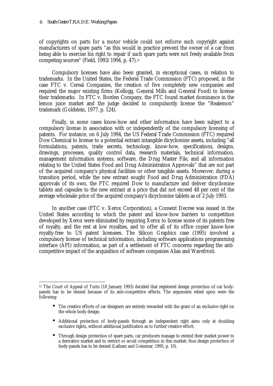of copyrights on parts for a motor vehicle could not enforce such copyright against manufacturers of spare parts "as this would in practice prevent the owner of a car from being able to exercise his right to repair if such spare parts were not freely available from competing sources" (Field, 1993/1994, p. 47).<sup>12</sup>

Compulsory licenses have also been granted, in exceptional cases, in relation to trademarks. In the United States, the Federal Trade Commission (FTC) proposed, in the case FTC v. Cereal Companies, the creation of five completely new companies and required the major existing firms (Kellogg, General Mills and General Food) to license their trademarks. In FTC v. Borden Company, the FTC found market dominance in the lemon juice market and the judge decided to compulsorily license the "Realemon" trademark (Goldstein, 1977, p. 124).

Finally, in some cases know-how and other information have been subject to a compulsory license in association with or independently of the compulsory licensing of patents. For instance, on 6 July 1994, the US Federal Trade Commission (FTC) required Dow Chemical to license to a potential entrant intangible dicyclomine assets, including "all formulations, patents, trade secrets, technology, know-how, specifications, designs, drawings, processes, quality control data, research materials, technical information, management information systems, software, the Drug Master File, and all information relating to the United States Food and Drug Administration Approvals" that are not part of the acquired company's physical facilities or other tangible assets. Moreover, during a transition period, while the new entrant sought Food and Drug Administration (FDA) approvals of its own, the FTC required Dow to manufacture and deliver dicyclomine tablets and capsules to the new entrant at a price that did not exceed 48 per cent of the average wholesale price of the acquired company's dicyclomine tablets as of 2 July 1993.

In another case (FTC v. Xerox Corporation), a Consent Decree was issued in the United States according to which the patent and know-how barriers to competition developed by Xerox were eliminated by requiring Xerox to license some of its patents free of royalty, and the rest at low royalties, and to offer all of its office copier know-how royalty-free to US patent licensees. The Silicon Graphics case (1995) involved a compulsory license of technical information, including software applications programming interface (API) information, as part of a settlement of FTC concerns regarding the anticompetitive impact of the acquisition of software companies Alias and Wavefront.

- Additional protection of body-panels through an independent right aims only at doubling exclusive rights, without additional justification as to further creative effort;
- Through design protection of spare parts, car producers manage to extend their market power to a derivative market and to restrict or avoid competition in this market; thus design protection of body-panels has to be denied (Latham and Geissmar, 1995, p. 10).

 $\overline{a}$ 12 The Court of Appeal of Turin (18 January 1993) decided that registered design protection of car bodypanels has to be denied because of its anti-competitive effects. The arguments relied upon were the following:

<sup>•</sup> The creative efforts of car designers are entirely rewarded with the grant of an exclusive right on the whole body design;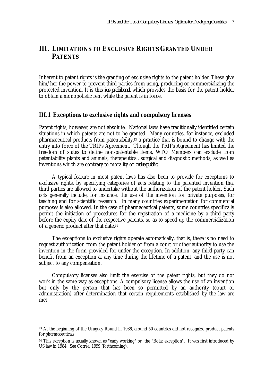## **III. LIMITATIONS TO EXCLUSIVE RIGHTS GRANTED UNDER PATENTS**

Inherent to patent rights is the granting of exclusive rights to the patent holder. These give him/her the power to prevent third parties from using, producing or commercializing the protected invention. It is this *ius prohibendi* which provides the basis for the patent holder to obtain a monopolistic rent while the patent is in force.

#### **III.1 Exceptions to exclusive rights and compulsory licenses**

Patent rights, however, are not absolute. National laws have traditionally identified certain situations in which patents are not to be granted. Many countries, for instance, excluded pharmaceutical products from patentability,13 a practice that is bound to change with the entry into force of the TRIPs Agreement. Though the TRIPs Agreement has limited the freedom of states to define non-patentable items, WTO Members can exclude from patentability plants and animals, therapeutical, surgical and diagnostic methods, as well as inventions which are contrary to morality or *ordre public.*

A typical feature in most patent laws has also been to provide for exceptions to exclusive rights, by specifying categories of acts relating to the patented invention that third parties are allowed to undertake without the authorization of the patent holder. Such acts generally include, for instance, the use of the invention for private purposes, for teaching and for scientific research. In many countries experimentation for commercial purposes is also allowed. In the case of pharmaceutical patents, some countries specifically permit the initiation of procedures for the registration of a medicine by a third party before the expiry date of the respective patents, so as to speed up the commercialization of a generic product after that date.<sup>14</sup>

The exceptions to exclusive rights operate automatically, that is, there is no need to request authorization from the patent holder or from a court or other authority to use the invention in the form provided for under the exception. In addition, any third party can benefit from an exception at any time during the lifetime of a patent, and the use is not subject to any compensation.

Compulsory licenses also limit the exercise of the patent rights, but they do not work in the same way as exceptions. A compulsory license allows the use of an invention but only by the person that has been so permitted by an authority (court or administration) after determination that certain requirements established by the law are met.

 $\overline{a}$ 

<sup>13</sup> At the beginning of the Uruguay Round in 1986, around 50 countries did not recognize product patents for pharmaceuticals.

<sup>&</sup>lt;sup>14</sup> This exception is usually known as "early working" or the "Bolar exception". It was first introduced by US law in 1984. See Correa, 1999 (forthcoming).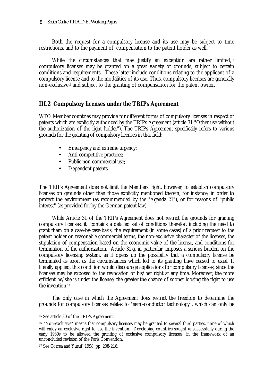Both the request for a compulsory license and its use may be subject to time restrictions, and to the payment of compensation to the patent holder as well.

While the circumstances that may justify an exception are rather limited,<sup>15</sup> compulsory licenses may be granted on a great variety of grounds, subject to certain conditions and requirements. These latter include conditions relating to the applicant of a compulsory license and to the modalities of its use. Thus, compulsory licenses are generally non-exclusive16 and subject to the granting of compensation for the patent owner.

## **III.2 Compulsory licenses under the TRIPs Agreement**

WTO Member countries may provide for different forms of compulsory licenses in respect of patents which are explicitly authorized by the TRIPs Agreement (article 31 "Other use without the authorization of the right holder"). The TRIPs Agreement specifically refers to various grounds for the granting of compulsory licenses in that field:

- Emergency and extreme urgency;
- Anti-competitive practices;
- Public non-commercial use;
- Dependent patents.

The TRIPs Agreement does not limit the Members' right, however, to establish compulsory licenses on grounds other than those explicitly mentioned therein, for instance, in order to protect the environment (as recommended by the "Agenda 21"), or for reasons of "public interest" (as provided for by the German patent law).

While Article 31 of the TRIPs Agreement does not restrict the grounds for granting compulsory licenses, it contains a detailed set of conditions therefor, including the need to grant them on a case-by-case-basis, the requirement (in some cases) of a prior request to the patent holder on reasonable commercial terms, the non-exclusive character of the licenses, the stipulation of compensation based on the economic value of the license, and conditions for termination of the authorization. Article 31.g, in particular, imposes a serious burden on the compulsory licensing system, as it opens up the possibility that a compulsory license be terminated as soon as the circumstances which led to its granting have ceased to exist. If literally applied, this condition would discourage applications for compulsory licenses, since the licensee may be exposed to the revocation of his/her right at any time. Moreover, the more efficient he/she is under the license, the greater the chance of sooner loosing the right to use the invention.<sup>17</sup>

The only case in which the Agreement does restrict the freedom to determine the grounds for compulsory licenses relates to "semi-conductor technology", which can only be

 $\overline{a}$ <sup>15</sup> See article 30 of the TRIPs Agreement.

<sup>&</sup>lt;sup>16</sup> "Non-exclusive" means that compulsory licenses may be granted to several third parties, none of which will enjoy an exclusive right to use the invention. Developing countries sought unsuccessfully during the early 1980s to be allowed the granting of exclusive compulsory licenses, in the framework of an unconcluded revision of the Paris Convention.

<sup>17</sup> See Correa and Yusuf, 1998, pp. 208-216.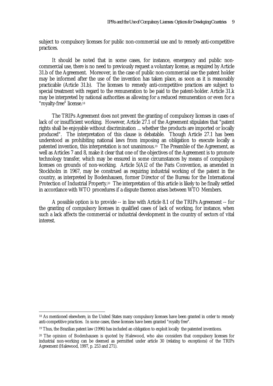subject to compulsory licenses for public non-commercial use and to remedy anti-competitive practices.

It should be noted that in some cases, for instance, emergency and public noncommercial use, there is no need to previously request a voluntary license, as required by Article 31.b of the Agreement. Moreover, in the case of public non-commercial use the patent holder may be informed after the use of the invention has taken place, as soon as it is reasonably practicable (Article 31.b). The licenses to remedy anti-competitive practices are subject to special treatment with regard to the remuneration to be paid to the patent-holder. Article 31.k may be interpreted by national authorities as allowing for a reduced remuneration or even for a "royalty-free" license.<sup>18</sup>

The TRIPs Agreement does not prevent the granting of compulsory licenses in cases of lack of or insufficient working. However, Article 27.1 of the Agreement stipulates that "patent rights shall be enjoyable without discrimination ... whether the products are imported or locally produced". The interpretation of this clause is debatable. Though Article 27.1 has been understood as prohibiting national laws from imposing an obligation to execute locally a patented invention, this interpretation is not unanimous.19 The Preamble of the Agreement, as well as Articles 7 and 8, make it clear that one of the objectives of the Agreement is to promote technology transfer, which may be ensured in some circumstances by means of compulsory licenses on grounds of non-working. Article 5(A)2 of the Paris Convention, as amended in Stockholm in 1967, may be construed as requiring industrial working of the patent in the country, as interpreted by Bodenhausen, former Director of the Bureau for the International Protection of Industrial Property.20 The interpretation of this article is likely to be finally settled in accordance with WTO procedures if a dispute thereon arises between WTO Members.

A possible option is to provide -- in line with Article 8.1 of the TRIPs Agreement -- for the granting of compulsory licenses in qualified cases of lack of working, for instance, when such a lack affects the commercial or industrial development in the country of sectors of vital interest.

 $\overline{a}$ 

<sup>&</sup>lt;sup>18</sup> As mentioned elsewhere, in the United States many compulsory licenses have been granted in order to remedy anti-competitive practices. In some cases, these licenses have been granted "royalty free".

<sup>&</sup>lt;sup>19</sup> Thus, the Brazilian patent law (1996) has included an obligation to exploit locally the patented inventions.

<sup>&</sup>lt;sup>20</sup> The opinion of Bodenhausen is quoted by Halewood, who also considers that compulsory licenses for industrial non-working can be deemed as permitted under article 30 (relating to exceptions) of the TRIPs Agreement (Halewood, 1997, p. 253 and 271).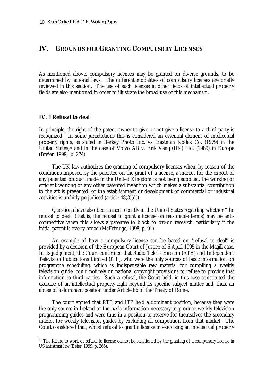## **IV. GROUNDS FOR GRANTING COMPULSORY LICENSES**

As mentioned above, compulsory licenses may be granted on diverse grounds, to be determined by national laws. The different modalities of compulsory licenses are briefly reviewed in this section. The use of such licenses in other fields of intellectual property fields are also mentioned in order to illustrate the broad use of this mechanism.

## **IV. 1 Refusal to deal**

 $\overline{a}$ 

In principle, the right of the patent owner to give or not give a license to a third party is recognized. In some jurisdictions this is considered an essential element of intellectual property rights, as stated in Berkey Photo Inc. vs. Eastman Kodak Co. (1979) in the United States,21 and in the case of Volvo AB v. Erik Veng (UK) Ltd. (1989) in Europe (Breier, 1999, p. 274).

The UK law authorizes the granting of compulsory licenses when, by reason of the conditions imposed by the patentee on the grant of a license, a market for the export of any patented product made in the United Kingdom is not being supplied, the working or efficient working of any other patented invention which makes a substantial contribution to the art is prevented, or the establishment or development of commercial or industrial activities is unfairly prejudiced (article 48(3)(d)).

Questions have also been raised recently in the United States regarding whether "the refusal to deal" (that is, the refusal to grant a license on reasonable terms) may be anticompetitive when this allows a patentee to block follow-on research, particularly if the initial patent is overly broad (McFetridge, 1998, p. 91).

An example of how a compulsory license can be based on "refusal to deal" is provided by a decision of the European Court of Justice of 6 April 1995 in the Magill case. In its judgement, the Court confirmed that Radio Telefis Eireann (RTE) and Independent Television Publications Limited (ITP), who were the only sources of basic information on programme scheduling, which is indispensable raw material for compiling a weekly television guide, could not rely on national copyright provisions to refuse to provide that information to third parties. Such a refusal, the Court held, in this case constituted the exercise of an intellectual property right beyond its specific subject matter and, thus, an abuse of a dominant position under Article 86 of the Treaty of Rome.

The court argued that RTE and ITP held a dominant position, because they were the only source in Ireland of the basic information necessary to produce weekly television programming guides and were thus in a position to reserve for themselves the secondary market for weekly television guides by excluding all competition from that market. The Court considered that, whilst refusal to grant a license in exercising an intellectual property

<sup>&</sup>lt;sup>21</sup> The failure to work or refusal to license cannot be sanctioned by the granting of a compulsory license in US antistrust law (Beier, 1999, p. 265).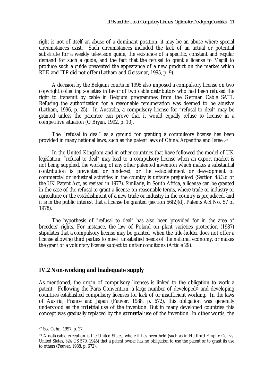right is not of itself an abuse of a dominant position, it may be an abuse where special circumstances exist. Such circumstances included the lack of an actual or potential substitute for a weekly television guide, the existence of a specific, constant and regular demand for such a guide, and the fact that the refusal to grant a license to Magill to produce such a guide prevented the appearance of a new product on the market which RTE and ITP did not offer (Latham and Geissmar, 1995, p. 9).

A decision by the Belgium courts in 1995 also imposed a compulsory license on two copyright collecting societies in favor of two cable distributors who had been refused the right to transmit by cable in Belgium programmes from the German Cable SATI. Refusing the authorization for a reasonable remuneration was deemed to be abusive (Latham, 1996, p. 25). In Australia, a compulsory license for "refusal to deal" may be granted unless the patentee can prove that it would equally refuse to license in a competitive situation (O'Bryan, 1992, p. 10).

The "refusal to deal" as a ground for granting a compulsory license has been provided in many national laws, such as the patent laws of China, Argentina and Israel.<sup>22</sup>

In the United Kingdom and in other countries that have followed the model of UK legislation, "refusal to deal" may lead to a compulsory license when an export market is not being supplied, the working of any other patented invention which makes a substantial contribution is prevented or hindered, or the establishment or development of commercial or industrial activities in the country is unfairly prejudiced (Section 48.3.d of the UK Patent Act, as revised in 1977). Similarly, in South Africa, a license can be granted in the case of the refusal to grant a license on reasonable terms, where trade or industry or agriculture or the establishment of a new trade or industry in the country is prejudiced, and it is in the public interest that a license be granted (section 56(2)(d), Patents Act No. 57 of 1978).

The hypothesis of "refusal to deal" has also been provided for in the area of breeders' rights. For instance, the law of Poland on plant varieties protection (1987) stipulates that a compulsory license may be granted when the title-holder does not offer a license allowing third parties to meet unsatisfied needs of the national economy, or makes the grant of a voluntary license subject to unfair conditions (Article 29).

## **IV.2 Non-working and inadequate supply**

As mentioned, the origin of compulsory licenses is linked to the obligation to work a patent. Following the Paris Convention, a large number of developed<sup>23</sup> and developing countries established compulsory licenses for lack of or insufficient working. In the laws of Austria, France and Japan (Fauver, 1988, p. 672), this obligation was generally understood as the *industrial* use of the invention. But in many developed countries this concept was gradually replaced by the *commercial* use of the invention. In other words, the

 $\overline{a}$ 

<sup>22</sup> See Cohn, 1997, p. 27.

<sup>&</sup>lt;sup>23</sup> A noticeable exception is the United States, where it has been held (such as in Hartford-Empire Co. vs. United States, 324 US 570, 1945) that a patent owner has no obligation to use the patent or to grant its use to others (Fauver, 1988, p. 672).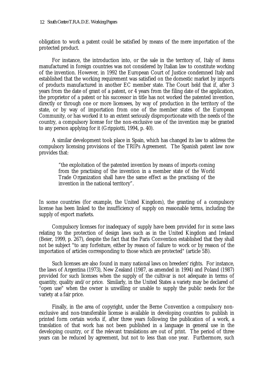obligation to work a patent could be satisfied by means of the mere importation of the protected product.

For instance, the introduction into, or the sale in the territory of, Italy of items manufactured in foreign countries was not considered by Italian law to constitute working of the invention. However, in 1992 the European Court of Justice condemned Italy and established that the working requirement was satisfied on the domestic market by imports of products manufactured in another EC member state. The Court held that if, after 3 years from the date of grant of a patent, or 4 years from the filing date of the application, the proprietor of a patent or his successor in title has not worked the patented invention, directly or through one or more licensees, by way of production in the territory of the state, or by way of importation from one of the member states of the European Community, or has worked it to an extent seriously disproportionate with the needs of the country, a compulsory license for the non-exclusive use of the invention may be granted to any person applying for it (Grippiotti, 1994, p. 40).

A similar development took place in Spain, which has changed its law to address the compulsory licensing provisions of the TRIPs Agreement. The Spanish patent law now provides that:

"the exploitation of the patented invention by means of imports coming from the practising of the invention in a member state of the World Trade Organization shall have the same effect as the practising of the invention in the national territory".

In some countries (for example, the United Kingdom), the granting of a compulsory license has been linked to the insufficiency of supply on reasonable terms, including the supply of export markets.

Compulsory licenses for inadequacy of supply have been provided for in some laws relating to the protection of design laws such as in the United Kingdom and Ireland (Beier, 1999, p. 267), despite the fact that the Paris Convention established that they shall not be subject "to any forfeiture, either by reason of failure to work or by reason of the importation of articles corresponding to those which are protected" (article 5B).

Such licenses are also found in many national laws on breeders' rights. For instance, the laws of Argentina (1973), New Zealand (1987, as amended in 1994) and Poland (1987) provided for such licenses when the supply of the cultivar is not adequate in terms of quantity, quality and/or price. Similarly, in the United States a variety may be declared of "open use" when the owner is unwilling or unable to supply the public needs for the variety at a fair price.

Finally, in the area of copyright, under the Berne Convention a compulsory nonexclusive and non-transferable license is available in developing countries to publish in printed form certain works if, after three years following the publication of a work, a translation of that work has not been published in a language in general use in the developing country, or if the relevant translations are out of print. The period of three years can be reduced by agreement, but not to less than one year. Furthermore, such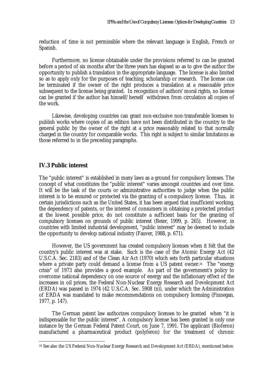reduction of time is not permissible where the relevant language is English, French or Spanish.

Furthermore, no license obtainable under the provisions referred to can be granted before a period of six months after the three years has elapsed so as to give the author the opportunity to publish a translation in the appropriate language. The license is also limited so as to apply only for the purposes of teaching, scholarship or research. The license can be terminated if the owner of the right produces a translation at a reasonable price subsequent to the license being granted. In recognition of authors' moral rights, no license can be granted if the author has himself/herself withdrawn from circulation all copies of the work.

Likewise, developing countries can grant non-exclusive non-transferable licenses to publish works where copies of an edition have not been distributed in the country to the general public by the owner of the right at a price reasonably related to that normally charged in the country for comparable works. This right is subject to similar limitations as those referred to in the preceding paragraphs.

## **IV.3 Public interest**

 $\overline{a}$ 

The "public interest" is established in many laws as a ground for compulsory licenses. The concept of what constitutes the "public interest" varies amongst countries and over time. It will be the task of the courts or administrative authorities to judge when the public interest is to be ensured or protected via the granting of a compulsory license. Thus, in certain jurisdictions such as the United States, it has been argued that insufficient working, the dependency of patents, or the interest of consumers in obtaining a protected product at the lowest possible price, do not constitute a sufficient basis for the granting of compulsory licenses on grounds of public interest (Beier, 1999, p. 265). However, in countries with limited industrial development, "public interest" may be deemed to include the opportunity to develop national industry (Fauver, 1988, p. 671).

However, the US government has created compulsory licenses when it felt that the country's public interest was at stake. Such is the case of the Atomic Energy Act (42 U.S.C.A. Sec. 2183) and of the Clean Air Act (1970) which sets forth particular situations where a private party could demand a license from a US patent owner.<sup>24</sup> The "energy crisis" of 1973 also provides a good example. As part of the government's policy to overcome national dependency on one source of energy and the inflationary effect of the increases in oil prices, the Federal Non-Nuclear Energy Research and Development Act (ERDA) was passed in 1974 (42 U.S.C.A. Sec. 5908 (n)), under which the Administration of ERDA was mandated to make recommendations on compulsory licensing (Finnegan, 1977, p. 147).

The German patent law authorizes compulsory licenses to be granted when "it is indispensable for the public interest". A compulsory license has been granted in only one instance by the German Federal Patent Court, on June 7, 1991. The applicant (Bioferon) manufactured a pharmaceutical product (polyferon) for the treatment of chronic

<sup>&</sup>lt;sup>24</sup> See also the US Federal Non-Nuclear Energy Research and Development Act (ERDA), mentioned below.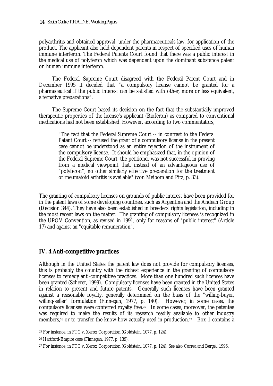polyarthritis and obtained approval, under the pharmaceuticals law, for application of the product. The applicant also held dependent patents in respect of specified uses of human immune interferon. The Federal Patents Court found that there was a public interest in the medical use of polyferon which was dependent upon the dominant substance patent on human immune interferon.

The Federal Supreme Court disagreed with the Federal Patent Court and in December 1995 it decided that "a compulsory license cannot be granted for a pharmaceutical if the public interest can be satisfied with other, more or less equivalent, alternative preparations".

The Supreme Court based its decision on the fact that the substantially improved therapeutic properties of the license's applicant (Bioferon) as compared to conventional medications had not been established. However, according to two commentators,

"The fact that the Federal Supreme Court -- in contrast to the Federal Patent Court -- refused the grant of a compulsory license in the present case cannot be understood as an entire rejection of the instrument of the compulsory license. It should be emphasized that, in the opinion of the Federal Supreme Court, the petitioner was not successful in proving from a medical viewpoint that, instead of an advantageous use of "polyferon", no other similarly effective preparation for the treatment of rheumatoid arthritis is available" (von Meibom and Pitz, p. 33).

The granting of compulsory licenses on grounds of public interest have been provided for in the patent laws of some developing countries, such as Argentina and the Andean Group (Decision 344). They have also been established in breeders' rights legislation, including in the most recent laws on the matter. The granting of compulsory licenses is recognized in the UPOV Convention, as revised in 1991, only for reasons of "public interest" (Article 17) and against an "equitable remuneration".

## **IV. 4 Anti-competitive practices**

Although in the United States the patent law does not provide for compulsory licenses, this is probably the country with the richest experience in the granting of compulsory licenses to remedy anti-competitive practices. More than one hundred such licenses have been granted (Scherer, 1999). Compulsory licenses have been granted in the United States in relation to present and future patents. Generally such licenses have been granted against a reasonable royalty, generally determined on the basis of the "willing-buyer, willing-seller" formulation (Finnegan, 1977, p. 140). However, in some cases, the compulsory licenses were conferred royalty free.25 In some cases, moreover, the patentee was required to make the results of its research readily available to other industry members,<sup>26</sup> or to transfer the know-how actually used in production.<sup>27</sup> Box 1 contains a

 $\overline{a}$ <sup>25</sup> For instance, in FTC v. Xerox Corporation (Goldstein, 1077, p. 124).

<sup>26</sup> Hartford-Empire case (Finnegan, 1977, p. 139).

<sup>27</sup> For instance, in FTC v. Xerox Corporation (Goldstein, 1077, p. 124). See also Correa and Bergel, 1996.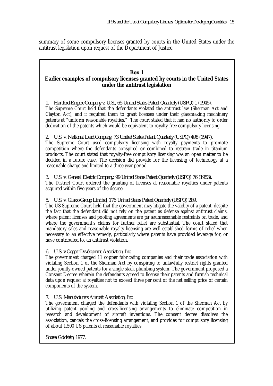summary of some compulsory licenses granted by courts in the United States under the antitrust legislation upon request of the Department of Justice.

#### **Box 1**

## **Earlier examples of compulsory licenses granted by courts in the United States under the antitrust legislation**

*1. Hartford-Empire Company v. U.S., 65 United States Patent Quarterly (USPQ) 1 (1945).* The Supreme Court held that the defendants violated the antitrust law (Sherman Act and Clayton Act), and it required them to grant licenses under their glassmaking machinery patents at "uniform reasonable royalties." The court stated that it had no authority to order dedication of the patents which would be equivalent to royalty-free compulsory licensing.

## 2. *U.S. v. National Lead Company, 73 United States Patent Quarterly (USPQ) 498 (1947).*

The Supreme Court used compulsory licensing with royalty payments to promote competition where the defendants conspired or combined to restrain trade in titanium products. The court stated that royalty-free compulsory licensing was an open matter to be decided in a future case. The decision did provide for the licensing of technology at a reasonable charge and limited to a three year period.

#### *3. U.S. v. General Electric Company, 99 United States Patent Quarterly (USPQ) 76 (1953).* The District Court ordered the granting of licenses at reasonable royalties under patents acquired within five years of the decree.

## *5. U.S. v. Glaxo Group Limited, 176 United States Patent Quarterly (USPQ) 289.*

The US Supreme Court held that the government may litigate the validity of a patent, despite the fact that the defendant did not rely on the patent as defense against antitrust claims, where patent licenses and pooling agreements are *per se* unreasonable restraints on trade, and where the government's claims for further relief are substantial. The court stated that mandatory sales and reasonable royalty licensing are well established forms of relief when necessary to an effective remedy, particularly where patents have provided leverage for, or have contributed to, an antitrust violation.

## *6. U.S. v Copper Development Association, Inc.*

The government charged 11 copper fabricating companies and their trade association with violating Section 1 of the Sherman Act by conspiring to unlawfully restrict rights granted under jointly-owned patents for a single stack plumbing system. The government proposed a Consent Decree wherein the defendants agreed to license their patents and furnish technical data upon request at royalties not to exceed three per cent of the net selling price of certain components of the system.

## *7. U.S. Manufacturers Aircraft Association, Inc.*

The government charged the defendants with violating Section 1 of the Sherman Act by utilizing patent pooling and cross-licensing arrangements to eliminate competition in research and development of aircraft inventions. The consent decree dissolves the association, cancels the cross-licensing arrangement, and provides for compulsory licensing of about 1,500 US patents at reasonable royalties.

*Source: Goldstein, 1977.*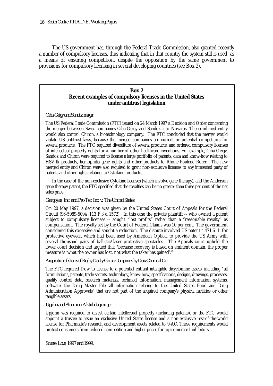The US government has, through the Federal Trade Commission, also granted recently a number of compulsory licenses, thus indicating that in that country the system still is used as a means of ensuring competition, despite the opposition by the same government to provisions for compulsory licensing in several developing countries (see Box 2).

#### **Box 2 Recent examples of compulsory licenses in the United States under antitrust legislation**

*Ciba-Geigy and Sandoz merger*

The US Federal Trade Commission (FTC) issued on 24 March 1997 a Decision and Order concerning the merger betweeen Swiss companies Ciba-Geigy and Sandoz into Novartis. The combined entity would also control Chiron, a biotechnology company. The FTC concluded that the merger would violate US antitrust laws, because the merged companies are current or potential competitors for several products. The FTC required divestiture of several products, and ordered compulsory licenses of intellectual property rights for a number of other healthcare inventions. For example, Ciba-Geigy, Sandoz and Chiron were required to license a large portfolio of patents, data and know-how relating to HSV-tk products, hemophilia gene rights and other products to Rhone-Poulenc Rorer. The new merged entity and Chiron were also required to grant non-exclusive licenses to any interested party of patents and other rights relating to Cytokine products.

In the case of the non-exclusive Cytokine licenses (which involve gene therapy), and the Anderson gene therapy patent, the FTC specified that the royalties can be no greater than three per cent of the net sales price.

#### *Gargoyles, Inc. and Pro-Tec, Inc. v. The United States*

On 20 May 1997, a decision was given by the United States Court of Appeals for the Federal Circuit (96-5089-5094 ;113 F.3 d 1572). In this case the private plaintiff  $-$  who owned a patent subject to compulsory licenses -- sought "lost profits" rather than a "reasonable royalty" as compensation. The royalty set by the Court of Federal Claims was 10 per cent. The government considered this excessive and sought a reduction. The dispute involved US patent 4,471,611 for protective eyewear, which had been used by American Optical to provide the US Army with several thousand pairs of ballistic/laser protective spectacles. The Appeals court upheld the lower court decision and argued that "because recovery is based on eminent domain, the proper measure is 'what the owner has lost, not what the taker has gained'."

#### *Acquisition of shares of Rugby-Darby Group Companies by Dow Chemical Co.*

The FTC required Dow to license to a potential entrant intangible dicyclomine assets, including "all formulations, patents, trade secrets, technology, know-how, specifications, designs, drawings, processes, quality control data, research materials, technical information, management information systems, software, the Drug Master File, all information relating to the United States Food and Drug Administration Approvals" that are not part of the acquired company's physical facilities or other tangible assets.

#### *Upjohn and Pharmacia Aktiebolag merger*

Upjohn was required to divest certain intellectual property (including patents), or the FTC would appoint a trustee to issue an exclusive United States license and a non-exclusive rest-of-the-world license for Pharmacia's research and development assets related to 9-AC. These requirements would protect consumers from reduced competition and higher prices for topisomerase I inhibitors.

*Source: Love, 1997 and 1999.*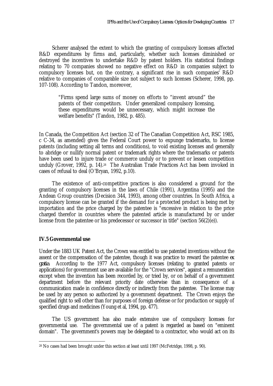Scherer analysed the extent to which the granting of compulsory licenses affected R&D expenditures by firms and, particularly, whether such licenses diminished or destroyed the incentives to undertake R&D by patent holders. His statistical findings relating to 70 companies showed no negative effect on R&D in companies subject to compulsory licenses but, on the contrary, a significant rise in such companies' R&D relative to companies of comparable size not subject to such licenses (Scherer, 1998, pp. 107-108). According to Tandon, moreover,

"Firms spend large sums of money on efforts to "invent around" the patents of their competitors. Under generalized compulsory licensing, these expenditures would be unnecessary, which might increase the welfare benefits" (Tandon, 1982, p. 485).

In Canada, the Competition Act (section 32 of The Canadian Competition Act, RSC 1985, c C-34, as amended) gives the Federal Court power to expunge trademarks, to license patents (including setting all terms and conditions), to void existing licenses and generally to abridge or nullify normal patent or trademark rights where the trademarks or patents have been used to injure trade or commerce unduly or to prevent or lessen competition unduly (Grover, 1992, p. 14).<sup>28</sup> The Australian Trade Practices Act has been invoked in cases of refusal to deal (O'Bryan, 1992, p.10).

The existence of anti-competitive practices is also considered a ground for the granting of compulsory licenses in the laws of Chile (1991), Argentina (1995) and the Andean Group countries (Decision 344, 1993), among other countries. In South Africa, a compulsory license can be granted if the demand for a protected product is being met by importation and the price charged by the patentee is "excessive in relation to the price charged therefor in countries where the patented article is manufactured by or under license from the patentee or his predecessor or successor in title" (section 56(2)(e)).

## **IV.5 Governmental use**

Under the 1883 UK Patent Act, the Crown was entitled to use patented inventions without the assent or the compensation of the patentee, though it was practice to reward the patentee *ex gratia*. According to the 1977 Act, compulsory licenses (relating to granted patents or applications) for government use are available for the "Crown services", against a remuneration except when the invention has been recorded by, or tried by, or on behalf of a government department before the relevant priority date otherwise than in consequence of a communication made in confidence directly or indirectly from the patentee. The license may be used by any person so authorized by a government department. The Crown enjoys the qualified right to sell other than for purposes of foreign defense or for production or supply of specified drugs and medicines (Young et al, 1994, pp. 477).

The US government has also made extensive use of compulsory licenses for governmental use. The governmental use of a patent is regarded as based on "eminent domain". The government's powers may be delegated to a contractor, who would act on its

 $\overline{a}$ 28 No cases had been brought under this section at least until 1997 (McFetridge, 1998, p. 90).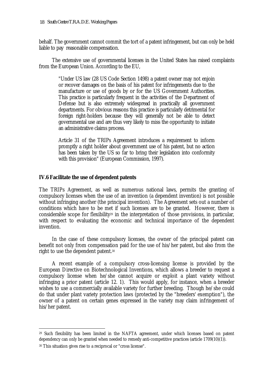behalf. The government cannot commit the tort of a patent infringement, but can only be held liable to pay reasonable compensation.

The extensive use of governmental licenses in the United States has raised complaints from the European Union. According to the EU,

"Under US law (28 US Code Section 1498) a patent owner may not enjoin or recover damages on the basis of his patent for infringements due to the manufacture or use of goods by or for the US Government Authorities. This practice is particularly frequent in the activities of the Department of Defense but is also extremely widespread in practically all government departments. For obvious reasons this practice is particularly detrimental for foreign right-holders because they will generally not be able to detect governmental use and are thus very likely to miss the opportunity to initiate an administrative claims process.

Article 31 of the TRIPs Agreement introduces a requirement to inform promptly a right holder about government use of his patent, but no action has been taken by the US so far to bring their legislation into conformity with this provision" (European Commission, 1997).

## **IV.6 Facilitate the use of dependent patents**

The TRIPs Agreement, as well as numerous national laws, permits the granting of compulsory licenses when the use of an invention (a dependent invention) is not possible without infringing another (the principal invention). The Agreement sets out a number of conditions which have to be met if such licenses are to be granted. However, there is considerable scope for flexibility29 in the interpretation of those provisions, in particular, with respect to evaluating the economic and technical importance of the dependent invention.

In the case of these compulsory licenses, the owner of the principal patent can benefit not only from compensation paid for the use of his/her patent, but also from the right to use the dependent patent.<sup>30</sup>

A recent example of a compulsory cross-licensing license is provided by the European Directive on Biotechnological Inventions, which allows a breeder to request a compulsory license when he/she cannot acquire or exploit a plant variety without infringing a prior patent (article 12. 1). This would apply, for instance, when a breeder wishes to use a commercially available variety for further breeding. Though he/she could do that under plant variety protection laws (protected by the "breeders' exemption"), the owner of a patent on certain genes expressed in the variety may claim infringement of his/her patent.

 $\overline{a}$ 

<sup>29</sup> Such flexibility has been limited in the NAFTA agreement, under which licenses based on patent dependency can only be granted when needed to remedy anti-competitive practices (article  $1709(10)(1)$ ).

<sup>30</sup> This situation gives rise to a reciprocal or "cross license".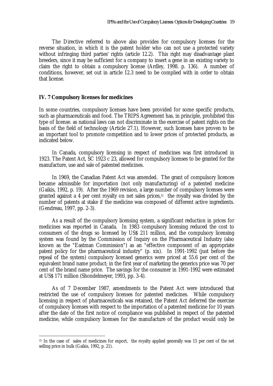The Directive referred to above also provides for compulsory licenses for the reverse situation, in which it is the patent holder who can not use a protected variety without infringing third parties' rights (article 12.2). This right may disadvantage plant breeders, since it may be sufficient for a company to insert a gene in an existing variety to claim the right to obtain a compulsory license (Ardley, 1998. p. 136). A number of conditions, however, set out in article 12.3 need to be complied with in order to obtain that license.

#### **IV. 7 Compulsory licenses for medicines**

 $\overline{a}$ 

In some countries, compulsory licenses have been provided for some specific products, such as pharmaceuticals and food. The TRIPS Agreement has, in principle, prohibited this type of license. as national laws can not discriminate in the exercise of patent rights on the basis of the field of technology (Article 27.1). However, such licenses have proven to be an important tool to promote competition and to lower prices of protected products, as indicated below.

In Canada, compulsory licensing in respect of medicines was first introduced in 1923. The Patent Act, SC 1923 c 23, allowed for compulsory licenses to be granted for the manufacture, use and sale of patented medicines.

In 1969, the Canadian Patent Act was amended. The grant of compulsory licences became admissible for importation (not only manufacturing) of a patented medicine (Gaikis, 1992, p. 19). After the 1969 revision, a large number of compulsory licenses were granted against a 4 per cent royalty on net sales prices,31 the royalty was divided by the number of patents at stake if the medicine was composed of different active ingredients. (Gendreau, 1997, pp. 2-3).

As a result of the compulsory licensing system, a significant reduction in prices for medicines was reported in Canada. In 1983 compulsory licensing reduced the cost to consumers of the drugs so licensed by US\$ 211 million, and the compulsory licensing system was found by the Commission of Inquiry on the Pharmaceutical Industry (also known as the "Eastman Commission") as an "effective component of an appropriate patent policy for the pharmaceutical industry" (p. xix). In 1991-1992 (just before the repeal of the system) compulsory licensed generics were priced at 55.6 per cent of the equivalent brand name product; in the first year of marketing the generics price was 70 per cent of the brand name price. The savings for the consumer in 1991-1992 were estimated at US\$ 171 million (Shondelmeyer, 1993, pp. 3-4).

As of 7 December 1987, amendments to the Patent Act were introduced that restricted the use of compulsory licenses for patented medicines. While compulsory licensing in respect of pharmaceuticals was retained, the Patent Act deferred the exercise of compulsory licenses with respect to the importation of a patented medicine for 10 years after the date of the first notice of compliance was published in respect of the patented medicine, while compulsory licenses for the manufacture of the product would only be

<sup>&</sup>lt;sup>31</sup> In the case of sales of medicines for export, the royalty applied generally was 15 per cent of the net selling price in bulk (Gaikis, 1992, p. 21).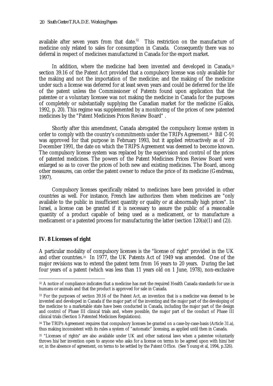available after seven years from that date.<sup>32</sup> This restriction on the manufacture of medicine only related to sales for consumption in Canada. Consequently there was no deferral in respect of medicines manufactured in Canada for the export market.

In addition, where the medicine had been invented and developed in Canada,<sup>33</sup> section 39.16 of the Patent Act provided that a compulsory license was only available for the making and not the importation of the medicine; and the making of the medicine under such a license was deferred for at least seven years and could be deferred for the life of the patent unless the Commissioner of Patents found upon application that the patentee or a voluntary licensee was not making the medicine in Canada for the purposes of completely or substantially supplying the Canadian market for the medicine (Gaikis, 1992, p. 20). This regime was supplemented by a monitoring of the prices of new patented medicines by the "Patent Medicines Prices Review Board" .

Shortly after this amendment, Canada abrogated the compulsory license system in order to comply with the country's commitments under the TRIPs Agreement.34 Bill C-91 was approved for that purpose in February 1993, but it applied retroactively as of 20 December 1991, the date on which the TRIPS Agreement was deemed to become known. The compulsory license system was replaced by the supervision and control of the prices of patented medicines. The powers of the Patent Medicines Prices Review Board were enlarged so as to cover the prices of both new and existing medicines. The Board, among other measures, can order the patent owner to reduce the price of its medicine (Gendreau, 1997).

Compulsory licenses specifically related to medicines have been provided in other countries as well. For instance, French law authorizes them when medicines are "only available to the public in insufficient quantity or quality or at abnormally high prices". In Israel, a license can be granted if it is necessary to assure the public of a reasonable quantity of a product capable of being used as a medicament, or to manufacture a medicament or a patented process for manufacturing the latter (section 120(a)(1) and (2)).

## **IV. 8 Licenses of right**

A particular modality of compulsory licenses is the "license of right" provided in the UK and other countries.35 In 1977, the UK Patents Act of 1949 was amended. One of the major revisions was to extend the patent term from 16 years to 20 years. During the last four years of a patent (which was less than 11 years old on 1 June, 1978), non-exclusive

 $\overline{a}$ <sup>32</sup> A notice of compliance indicates that a medicine has met the required Health Canada standards for use in humans or animals and that the product is approved for sale in Canada.

<sup>33</sup> For the purposes of section 39.16 of the Patent Act, an invention that is a medicine was deemed to be invented and developed in Canada if the major part of the inventing and the major part of the developing of the medicine to a marketable state have been conducted in Canada, including the major part of the design and control of Phase III clinical trials and, where possible, the major part of the conduct of Phase III clinical trials (Section 5 Patented Medicines Regulations).

<sup>34</sup> The TRIPs Agreement requires that compulsory licenses be granted on a case-by-case-basis (Article 31.a), thus making inconsistent with its rules a system of "automatic" licensing, as applied until then in Canada.

<sup>35</sup> "Licenses of rights" are also available under UK and other national laws when a patentee voluntarily throws his/her invention open to anyone who asks for a license on terms to be agreed upon with him/her or, in the absence of agreement, on terms to be settled by the Patent Office. (See Young et al, 1994, p.326).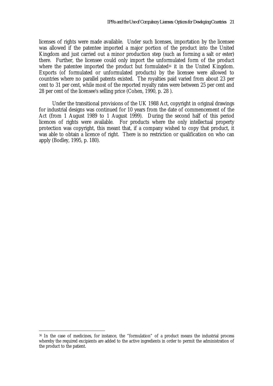licenses of rights were made available. Under such licenses, importation by the licensee was allowed if the patentee imported a major portion of the product into the United Kingdom and just carried out a minor production step (such as forming a salt or ester) there. Further, the licensee could only import the unformulated form of the product where the patentee imported the product but formulated<sup>36</sup> it in the United Kingdom. Exports (of formulated or unformulated products) by the licensee were allowed to countries where no parallel patents existed. The royalties paid varied from about 23 per cent to 31 per cent, while most of the reported royalty rates were between 25 per cent and 28 per cent of the licensee's selling price (Cohen, 1990, p. 28 ).

Under the transitional provisions of the UK 1988 Act, copyright in original drawings for industrial designs was continued for 10 years from the date of commencement of the Act (from 1 August 1989 to 1 August 1999). During the second half of this period licences of rights were available. For products where the only intellectual property protection was copyright, this meant that, if a company wished to copy that product, it was able to obtain a licence of right. There is no restriction or qualification on who can apply (Bodley, 1995, p. 180).

 $\overline{a}$ 

<sup>36</sup> In the case of medicines, for instance, the "formulation" of a product means the industrial process whereby the required excipients are added to the active ingredients in order to permit the administration of the product to the patient.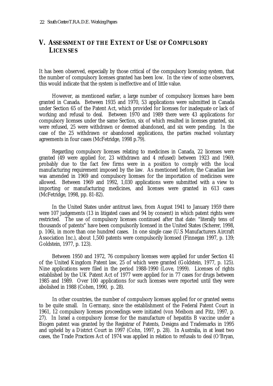## **V. ASSESSMENT OF THE EXTENT OF USE OF COMPULSORY LICENSES**

It has been observed, especially by those critical of the compulsory licensing system, that the number of compulsory licenses granted has been low. In the view of some observers, this would indicate that the system is ineffective and of little value.

However, as mentioned earlier, a large number of compulsory licenses have been granted in Canada. Between 1935 and 1970, 53 applications were submitted in Canada under Section 65 of the Patent Act, which provided for licenses for inadequate or lack of working and refusal to deal. Between 1970 and 1989 there were 43 applications for compulsory licenses under the same Section, six of which resulted in licenses granted, six were refused, 25 were withdrawn or deemed abandoned, and six were pending. In the case of the 25 withdrawn or abandoned applications, the parties reached voluntary agreements in four cases (McFetridge, 1998 p.79).

Regarding compulsory licenses relating to medicines in Canada, 22 licenses were granted (49 were applied for, 23 withdrawn and 4 refused) between 1923 and 1969, probably due to the fact few firms were in a position to comply with the local manufacturing requirement imposed by the law. As mentioned before, the Canadian law was amended in 1969 and compulsory licenses for the importation of medicines were allowed. Between 1969 and 1992, 1,030 applications were submitted with a view to importing or manufacturing medicines, and licenses were granted in 613 cases (McFetridge, 1998, pp. 81-82).

In the United States under antitrust laws, from August 1941 to January 1959 there were 107 judgements (13 in litigated cases and 94 by consent) in which patent rights were restricted. The use of compulsory licenses continued after that date: "literally tens of thousands of patents" have been compulsorily licensed in the United States (Scherer, 1998, p. 106), in more than one hundred cases. In one single case (U.S Manufacturers Aircraft Association Inc.), about 1,500 patents were compulsorily licensed (Finnegan 1997, p. 139; Goldstein, 1977, p. 123).

Between 1950 and 1972, 76 compulsory licenses were applied for under Section 41 of the United Kingdom Patent law, 25 of which were granted (Goldstein, 1977, p. 125). Nine applications were filed in the period 1988-1990 (Love, 1999). Licenses of rights established by the UK Patent Act of 1977 were applied for in 77 cases for drugs between 1985 and 1989. Over 100 applications for such licenses were reported until they were abolished in 1988 (Cohen, 1990, p. 28).

In other countries, the number of compulsory licenses applied for or granted seems to be quite small. In Germany, since the establishment of the Federal Patent Court in 1961, 12 compulsory licenses proceedings were initiated (von Meibom and Pitz, 1997, p. 27). In Israel a compulsory license for the manufacture of hepatitis B vaccine under a Biogen patent was granted by the Registrar of Patents, Designs and Trademarks in 1995 and upheld by a District Court in 1997 (Cohn, 1997, p. 28). In Australia, in at least two cases, the Trade Practices Act of 1974 was applied in relation to refusals to deal (O'Bryan,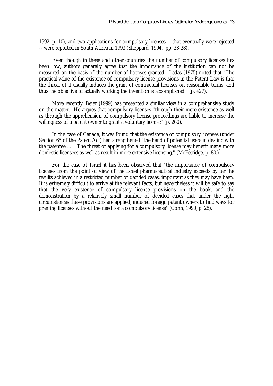1992, p. 10), and two applications for compulsory licenses -- that eventually were rejected -- were reported in South Africa in 1993 (Sheppard, 1994, pp. 23-28).

Even though in these and other countries the number of compulsory licenses has been low, authors generally agree that the importance of the institution can not be measured on the basis of the number of licenses granted. Ladas (1975) noted that "The practical value of the existence of compulsory license provisions in the Patent Law is that the threat of it usually induces the grant of contractual licenses on reasonable terms, and thus the objective of actually working the invention is accomplished." (p. 427).

More recently, Beier (1999) has presented a similar view in a comprehensive study on the matter. He argues that compulsory licenses "through their mere existence as well as through the apprehension of compulsory license proceedings are liable to increase the willingness of a patent owner to grant a voluntary license" (p. 260).

In the case of Canada, it was found that the existence of compulsory licenses (under Section 65 of the Patent Act) had strengthened "the hand of potential users in dealing with the patentee ... . The threat of applying for a compulsory license may benefit many more domestic licensees as well as result in more extensive licensing." (McFetridge, p. 80.)

For the case of Israel it has been observed that "the importance of compulsory licenses from the point of view of the Israel pharmaceutical industry exceeds by far the results achieved in a restricted number of decided cases, important as they may have been. It is extremely difficult to arrive at the relevant facts, but nevertheless it will be safe to say that the very existence of compulsory license provisions on the book, and the demonstration by a relatively small number of decided cases that under the right circumstances these provisions are applied, induced foreign patent owners to find ways for granting licenses without the need for a compulsory license" (Cohn, 1990, p. 25).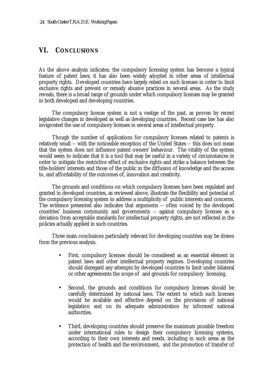## **VI. CONCLUSIONS**

As the above analysis indicates, the compulsory licensing system has become a typical feature of patent laws; it has also been widely adopted in other areas of intellectual property rights. Developed countries have largely relied on such licenses in order to limit exclusive rights and prevent or remedy abusive practices in several areas. As the study reveals, there is a broad range of grounds under which compulsory licenses may be granted in both developed and developing countries.

The compulsory license system is not a vestige of the past, as proven by recent legislative changes in developed as well as developing countries*.* Recent case law has also invigorated the use of compulsory licenses in several areas of intellectual property.

Though the number of applications for compulsory licenses related to patents is relatively small -- with the noticeable exception of the United States -- this does not mean that the system does not influence patent owners' behaviour. The vitality of the system would seem to indicate that it is a tool that may be useful in a variety of circumstances in order to mitigate the restrictive effect of exclusive rights and strike a balance between the title-holders' interests and those of the public in the diffusion of knowledge and the access to, and affordability of the outcomes of, innovation and creativity.

The grounds and conditions on which compulsory licenses have been regulated and granted in developed countries, as reviewed above, illustrate the flexibility and potential of the compulsory licensing system to address a multiplicity of public interests and concerns. The evidence presented also indicates that arguments -- often voiced by the developed countries' business community and governments -- against compulsory licenses as a deviation from acceptable standards for intellectual property rights, are not reflected in the policies actually applied in such countries.

Three main conclusions particularly relevant for developing countries may be drawn from the previous analysis.

- First, compulsory licenses should be considered as an essential element in patent laws and other intellectual property regimes. Developing countries should disregard any attempts by developed countries to limit under bilateral or other agreements the scope of and grounds for compulsory licensing.
- Second, the grounds and conditions for compulsory licenses should be carefully determined by national laws. The extent to which such licenses would be available and effective depend on the provisions of national legislation and on its adequate administration by informed national authorities.
- Third, developing countries should preserve the maximum possible freedom under international rules to design their compulsory licensing systems, according to their own interests and needs, including in such areas as the protection of health and the environment, and the promotion of transfer of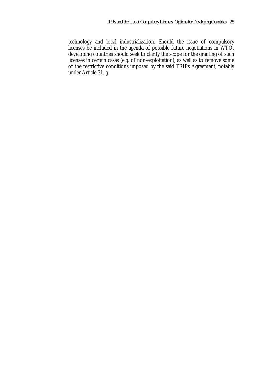technology and local industrialization. Should the issue of compulsory licenses be included in the agenda of possible future negotiations in WTO, developing countries should seek to clarify the scope for the granting of such licenses in certain cases (e.g. of non-exploitation), as well as to remove some of the restrictive conditions imposed by the said TRIPs Agreement, notably under Article 31. g.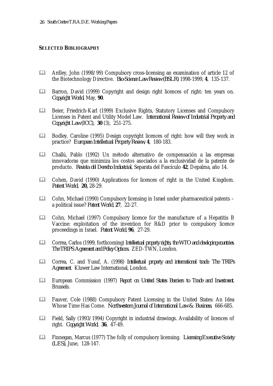#### **SELECTED BIBLIOGRAPHY**

- & Ardley, John (1998/99) Compulsory cross-licensing an examination of article 12 of the Biotechnology Directive. *Bio-Science Law Review (BSLR)* 1998-1999, **4**, 135-137.
- & Barron, David (1999) Copyright and design right licences of right: ten years on. *Copyright World*, May, **90**.
- & Beier, Friedrich-Karl (1999) Exclusive Rights, Statutory Licenses and Compulsory Licenses in Patent and Utility Model Law. *International Review of Industrial Property and Copyright Law (ICC),* **30** (3), 251-275.
- & Bodley, Caroline (1995) Design copyright licences of right: how will they work in practice? *European Intellectual Property Review*, **4**, 180-183.
- & Challú, Pablo (1992) Un método alternativo de compensación a las empresas innovadoras que minimiza los costos asociados a la exclusividad de la patente de producto. *Revista del Derecho Industrial*, Separata del Fascículo **42**, Depalma, año 14.
- & Cohen, David (1990) Applications for licences of right in the United Kingdom. *Patent World*, **20,** 28-29.
- & Cohn, Michael (1990) Compulsory licensing in Israel under pharmaceutical patents a political issue? *Patent World*, **27**, 22-27.
- & Cohn, Michael (1997) Compulsory licence for the manufacture of a Hepatitis B Vaccine: exploitation of the invention for R&D prior to compulsory licence proceedings in Israel. *Patent World*, **96**, 27-29.
- & Correa, Carlos (1999, forthcoming) *Intellectual property rights, the WTO and developing countries. The TRIPS Agreement and Policy Options.* ZED-TWN, London.
- & Correa, C. and Yusuf, A. (1998) *Intellectual property and international trade. The TRIPs Agreement*. Kluwer Law International, London.
- & European Commission (1997) *Report on United States Barriers to Trade and Investment.* Brussels.
- & Fauver, Cole (1988) Compulsory Patent Licensing in the United States: An Idea Whose Time Has Come. *Northwestern Journal of International Law & Business*, 666-685.
- & Field, Sally (1993/1994) Copyright in industrial drawings. Availability of licences of right. *Copyright World*, **36**, 47-49.
- & Finnegan, Marcus (1977) The folly of compulsory licensing. *Licensing Executive Society (LES)*, June, 128-147.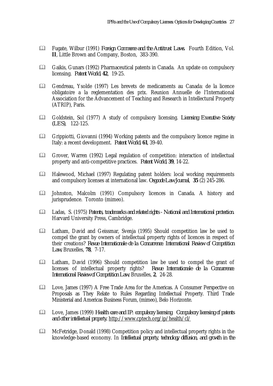- & Fugate, Wilbur (1991) *Foreign Commerce and the Antitrust Laws.* Fourth Edition, Vol. **II**, Little Brown and Company, Boston, 383-390.
- Gaikis, Gunars (1992) Pharmaceutical patents in Canada. An update on compulsory licensing. *Patent World*, **42**, 19-25.
- & Gendreau, Ysolde (1997) Les brevets de medicaments au Canada: de la licence obligatoire a la reglementation des prix. Reunion Annuelle de l'International Association for the Advancement of Teaching and Research in Intellectural Property (ATRIP), Paris.
- & Goldstein, Sol (1977) A study of compulsory licensing. *Licensing Executive Society (LES)*, 122-125.
- Grippiotti, Giovanni (1994) Working patents and the compulsory licence regime in Italy: a recent development. *Patent World*, **61**, 39-40.
- Grover, Warren (1992) Legal regulation of competition: interaction of intellectual property and anti-competitive practices. *Patent World*, **39**, 14-22.
- & Halewood, Michael (1997) Regulating patent holders: local working requirements and compulsory licenses at international law. *Osgoode Law Journal*, **35** (2) 245-286.
- & Johnston, Malcolm (1991) Compulsory licences in Canada. A history and jurisprudence. Toronto (mimeo).
- & Ladas, S. (1975) *Patents, trademarks and related rights National and International protection.* Harvard University Press, Cambridge.
- & Latham, David and Geissmar, Svenja (1995) Should competition law be used to compel the grant by owners of intellectual property rights of licences in respect of their creations? *Revue Internationale de la Concurrence. International Review of Competition Law*, Bruxelles, **78**, 7-17.
- **Example 1996** Latham, David (1996) Should competition law be used to compel the grant of licenses of intellectual property rights? *Revue Internationale de la Concurrence. International Review of Competition Law*, Bruxelles, **2**, 24-28.
- & Love, James (1997) A Free Trade Area for the Americas. A Consumer Perspective on Proposals as They Relate to Rules Regarding Intellectual Property. Third Trade Ministerial and Americas Business Forum, (mimeo), Belo Horizonte.
- & Love, James (1999) *Health care and IP: compulsory licensing. Compulsory licensing of patents and other intellectual property.* http://www.cptech.org/ip/health/cl/
- **Example 1998** McFetridge, Donald (1998) Competition policy and intellectual property rights in the knowledge-based economy. In *Intellectual property, technology diffusion, and growth in the*